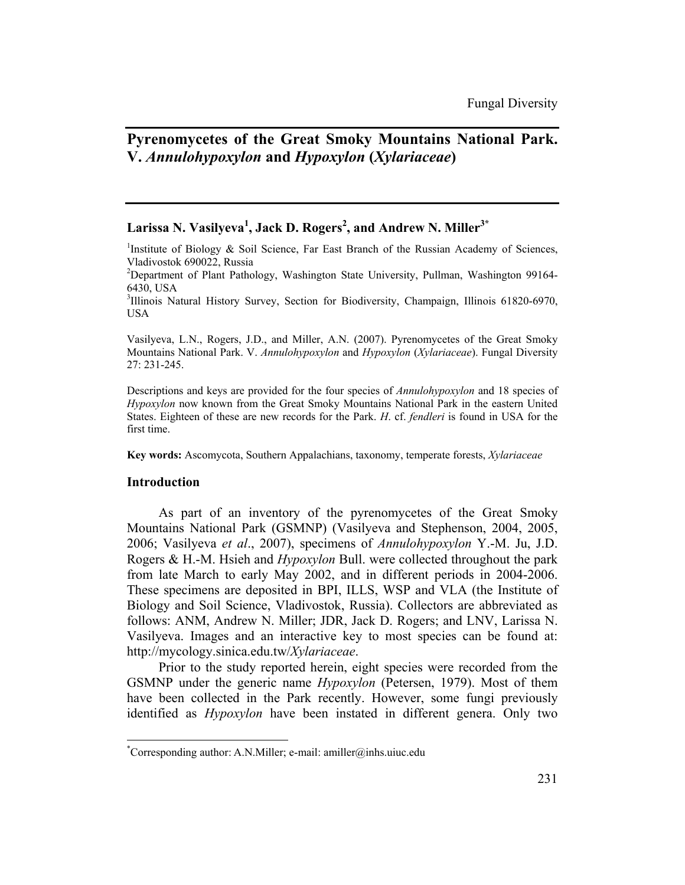# **Pyrenomycetes of the Great Smoky Mountains National Park. V.** *Annulohypoxylon* **and** *Hypoxylon* **(***Xylariaceae***)**

# $\rm {Larissa \ N. \ Vasilyeva^1, Jack \ D. \ Rogers^2, and Andrew \ N. \ Miller^{3^\ast}}$

<sup>1</sup>Institute of Biology & Soil Science, Far East Branch of the Russian Academy of Sciences, Vladivostok 690022, Russia

<sup>2</sup>Department of Plant Pathology, Washington State University, Pullman, Washington 99164-6430, USA

<sup>3</sup>Illinois Natural History Survey, Section for Biodiversity, Champaign, Illinois 61820-6970, USA

Vasilyeva, L.N., Rogers, J.D., and Miller, A.N. (2007). Pyrenomycetes of the Great Smoky Mountains National Park. V. *Annulohypoxylon* and *Hypoxylon* (*Xylariaceae*). Fungal Diversity 27: 231-245.

Descriptions and keys are provided for the four species of *Annulohypoxylon* and 18 species of *Hypoxylon* now known from the Great Smoky Mountains National Park in the eastern United States. Eighteen of these are new records for the Park. *H*. cf. *fendleri* is found in USA for the first time.

**Key words:** Ascomycota, Southern Appalachians, taxonomy, temperate forests, *Xylariaceae*

### **Introduction**

l

As part of an inventory of the pyrenomycetes of the Great Smoky Mountains National Park (GSMNP) (Vasilyeva and Stephenson, 2004, 2005, 2006; Vasilyeva *et al*., 2007), specimens of *Annulohypoxylon* Y.-M. Ju, J.D. Rogers & H.-M. Hsieh and *Hypoxylon* Bull. were collected throughout the park from late March to early May 2002, and in different periods in 2004-2006. These specimens are deposited in BPI, ILLS, WSP and VLA (the Institute of Biology and Soil Science, Vladivostok, Russia). Collectors are abbreviated as follows: ANM, Andrew N. Miller; JDR, Jack D. Rogers; and LNV, Larissa N. Vasilyeva. Images and an interactive key to most species can be found at: http://mycology.sinica.edu.tw/*Xylariaceae*.

Prior to the study reported herein, eight species were recorded from the GSMNP under the generic name *Hypoxylon* (Petersen, 1979). Most of them have been collected in the Park recently. However, some fungi previously identified as *Hypoxylon* have been instated in different genera. Only two

<sup>\*</sup> Corresponding author: A.N.Miller; e-mail: amiller@inhs.uiuc.edu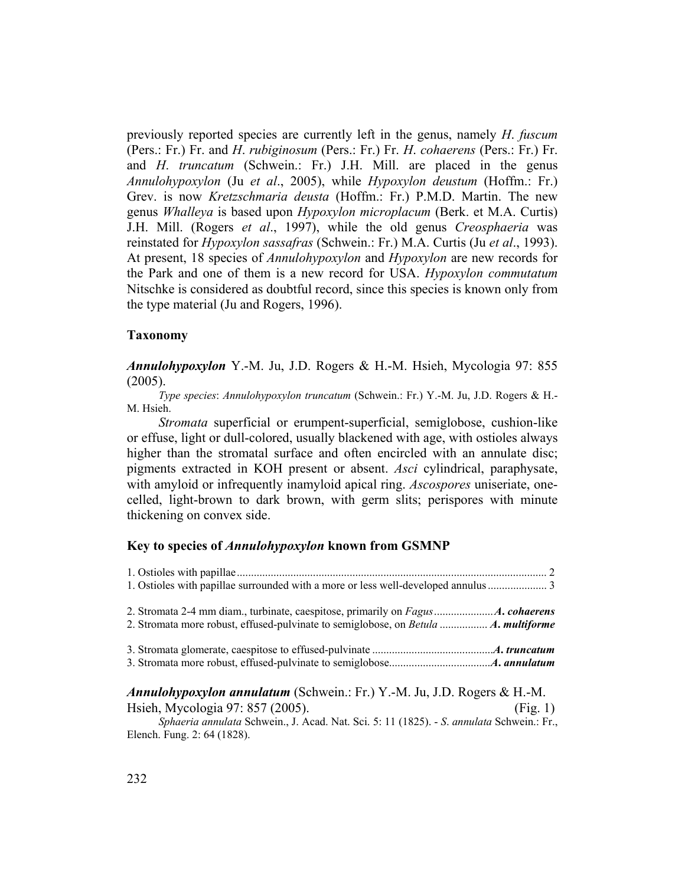previously reported species are currently left in the genus, namely *H*. *fuscum* (Pers.: Fr.) Fr. and *H*. *rubiginosum* (Pers.: Fr.) Fr. *H*. *cohaerens* (Pers.: Fr.) Fr. and *H*. *truncatum* (Schwein.: Fr.) J.H. Mill. are placed in the genus *Annulohypoxylon* (Ju *et al*., 2005), while *Hypoxylon deustum* (Hoffm.: Fr.) Grev. is now *Kretzschmaria deusta* (Hoffm.: Fr.) P.M.D. Martin. The new genus *Whalleya* is based upon *Hypoxylon microplacum* (Berk. et M.A. Curtis) J.H. Mill. (Rogers *et al*., 1997), while the old genus *Creosphaeria* was reinstated for *Hypoxylon sassafras* (Schwein.: Fr.) M.A. Curtis (Ju *et al*., 1993). At present, 18 species of *Annulohypoxylon* and *Hypoxylon* are new records for the Park and one of them is a new record for USA. *Hypoxylon commutatum* Nitschke is considered as doubtful record, since this species is known only from the type material (Ju and Rogers, 1996).

### **Taxonomy**

*Annulohypoxylon* Y.-M. Ju, J.D. Rogers & H.-M. Hsieh, Mycologia 97: 855 (2005).

*Type species*: *Annulohypoxylon truncatum* (Schwein.: Fr.) Y.-M. Ju, J.D. Rogers & H.- M. Hsieh.

*Stromata* superficial or erumpent-superficial, semiglobose, cushion-like or effuse, light or dull-colored, usually blackened with age, with ostioles always higher than the stromatal surface and often encircled with an annulate disc; pigments extracted in KOH present or absent. *Asci* cylindrical, paraphysate, with amyloid or infrequently inamyloid apical ring. *Ascospores* uniseriate, onecelled, light-brown to dark brown, with germ slits; perispores with minute thickening on convex side.

## **Key to species of** *Annulohypoxylon* **known from GSMNP**

*Annulohypoxylon annulatum* (Schwein.: Fr.) Y.-M. Ju, J.D. Rogers & H.-M. Hsieh, Mycologia 97: 857 (2005). (Fig. 1)

*Sphaeria annulata* Schwein., J. Acad. Nat. Sci. 5: 11 (1825). - *S*. *annulata* Schwein.: Fr., Elench. Fung. 2: 64 (1828).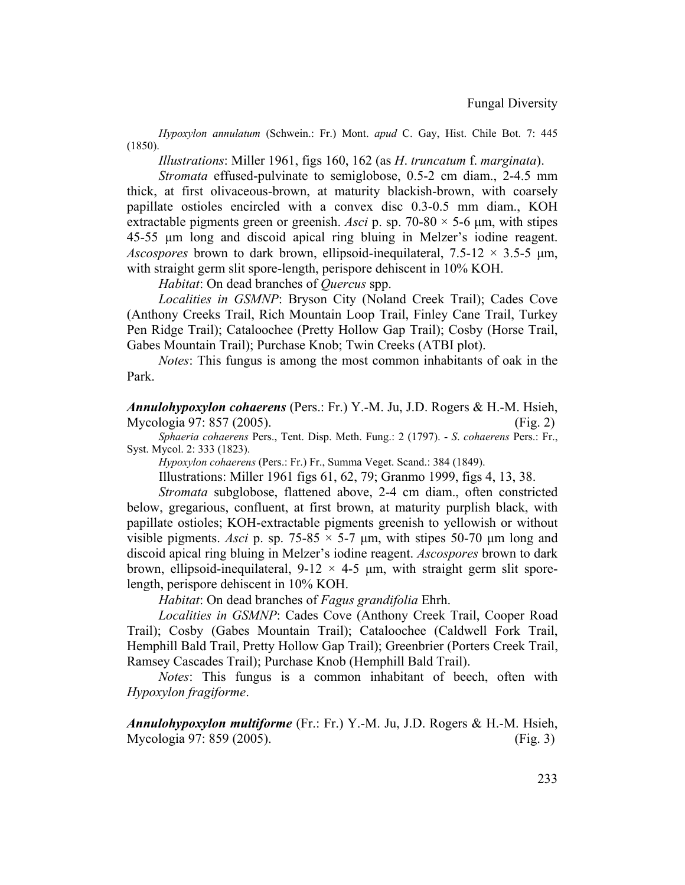*Hypoxylon annulatum* (Schwein.: Fr.) Mont. *apud* C. Gay, Hist. Chile Bot. 7: 445 (1850).

*Illustrations*: Miller 1961, figs 160, 162 (as *H*. *truncatum* f. *marginata*).

*Stromata* effused-pulvinate to semiglobose, 0.5-2 cm diam., 2-4.5 mm thick, at first olivaceous-brown, at maturity blackish-brown, with coarsely papillate ostioles encircled with a convex disc 0.3-0.5 mm diam., KOH extractable pigments green or greenish. *Asci* p. sp. 70-80  $\times$  5-6  $\mu$ m, with stipes 45-55 µm long and discoid apical ring bluing in Melzer's iodine reagent. *Ascospores* brown to dark brown, ellipsoid-inequilateral,  $7.5{\text -}12 \times 3.5{\text -}5 \text{ µm}$ , with straight germ slit spore-length, perispore dehiscent in 10% KOH.

*Habitat*: On dead branches of *Quercus* spp.

*Localities in GSMNP*: Bryson City (Noland Creek Trail); Cades Cove (Anthony Creeks Trail, Rich Mountain Loop Trail, Finley Cane Trail, Turkey Pen Ridge Trail); Cataloochee (Pretty Hollow Gap Trail); Cosby (Horse Trail, Gabes Mountain Trail); Purchase Knob; Twin Creeks (ATBI plot).

*Notes*: This fungus is among the most common inhabitants of oak in the Park.

*Annulohypoxylon cohaerens* (Pers.: Fr.) Y.-M. Ju, J.D. Rogers & H.-M. Hsieh, Mycologia 97: 857 (2005). (Fig. 2)

*Sphaeria cohaerens* Pers., Tent. Disp. Meth. Fung.: 2 (1797). - *S*. *cohaerens* Pers.: Fr., Syst. Mycol. 2: 333 (1823).

*Hypoxylon cohaerens* (Pers.: Fr.) Fr., Summa Veget. Scand.: 384 (1849).

Illustrations: Miller 1961 figs 61, 62, 79; Granmo 1999, figs 4, 13, 38.

*Stromata* subglobose, flattened above, 2-4 cm diam., often constricted below, gregarious, confluent, at first brown, at maturity purplish black, with papillate ostioles; KOH-extractable pigments greenish to yellowish or without visible pigments. Asci p. sp.  $75{\text -}85 \times 5{\text -}7$  µm, with stipes 50-70 µm long and discoid apical ring bluing in Melzer's iodine reagent. *Ascospores* brown to dark brown, ellipsoid-inequilateral,  $9-12 \times 4-5$  µm, with straight germ slit sporelength, perispore dehiscent in 10% KOH.

*Habitat*: On dead branches of *Fagus grandifolia* Ehrh.

*Localities in GSMNP*: Cades Cove (Anthony Creek Trail, Cooper Road Trail); Cosby (Gabes Mountain Trail); Cataloochee (Caldwell Fork Trail, Hemphill Bald Trail, Pretty Hollow Gap Trail); Greenbrier (Porters Creek Trail, Ramsey Cascades Trail); Purchase Knob (Hemphill Bald Trail).

*Notes*: This fungus is a common inhabitant of beech, often with *Hypoxylon fragiforme*.

*Annulohypoxylon multiforme* (Fr.: Fr.) Y.-M. Ju, J.D. Rogers & H.-M. Hsieh, Mycologia 97: 859 (2005). (Fig. 3)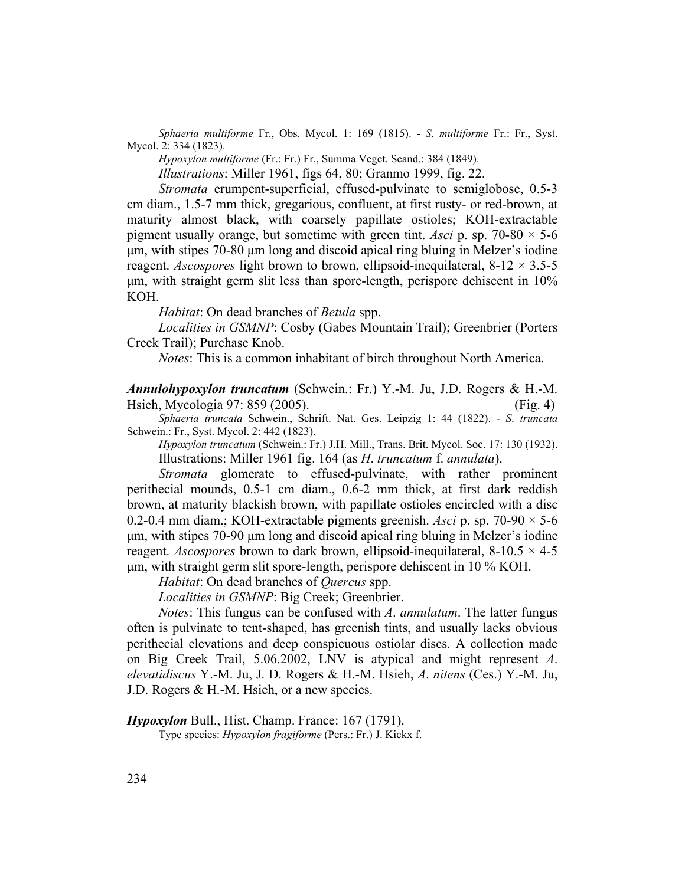*Sphaeria multiforme* Fr., Obs. Mycol. 1: 169 (1815). - *S*. *multiforme* Fr.: Fr., Syst. Mycol. 2: 334 (1823).

*Hypoxylon multiforme* (Fr.: Fr.) Fr., Summa Veget. Scand.: 384 (1849).

*Illustrations*: Miller 1961, figs 64, 80; Granmo 1999, fig. 22.

*Stromata* erumpent-superficial, effused-pulvinate to semiglobose, 0.5-3 cm diam., 1.5-7 mm thick, gregarious, confluent, at first rusty- or red-brown, at maturity almost black, with coarsely papillate ostioles; KOH-extractable pigment usually orange, but sometime with green tint. Asci p. sp.  $70-80 \times 5-6$ µm, with stipes 70-80 µm long and discoid apical ring bluing in Melzer's iodine reagent. *Ascospores* light brown to brown, ellipsoid-inequilateral,  $8-12 \times 3.5-5$ µm, with straight germ slit less than spore-length, perispore dehiscent in 10% KOH.

*Habitat*: On dead branches of *Betula* spp.

*Localities in GSMNP*: Cosby (Gabes Mountain Trail); Greenbrier (Porters Creek Trail); Purchase Knob.

*Notes*: This is a common inhabitant of birch throughout North America.

*Annulohypoxylon truncatum* (Schwein.: Fr.) Y.-M. Ju, J.D. Rogers & H.-M. Hsieh, Mycologia 97: 859 (2005). (Fig. 4)

*Sphaeria truncata* Schwein., Schrift. Nat. Ges. Leipzig 1: 44 (1822). - *S*. *truncata* Schwein.: Fr., Syst. Mycol. 2: 442 (1823).

*Hypoxylon truncatum* (Schwein.: Fr.) J.H. Mill., Trans. Brit. Mycol. Soc. 17: 130 (1932). Illustrations: Miller 1961 fig. 164 (as *H*. *truncatum* f. *annulata*).

*Stromata* glomerate to effused-pulvinate, with rather prominent perithecial mounds, 0.5-1 cm diam., 0.6-2 mm thick, at first dark reddish brown, at maturity blackish brown, with papillate ostioles encircled with a disc 0.2-0.4 mm diam.; KOH-extractable pigments greenish. *Asci* p. sp. 70-90 × 5-6 µm, with stipes 70-90 µm long and discoid apical ring bluing in Melzer's iodine reagent. *Ascospores* brown to dark brown, ellipsoid-inequilateral,  $8-10.5 \times 4-5$ µm, with straight germ slit spore-length, perispore dehiscent in 10 % KOH.

*Habitat*: On dead branches of *Quercus* spp.

*Localities in GSMNP*: Big Creek; Greenbrier.

*Notes*: This fungus can be confused with *A*. *annulatum*. The latter fungus often is pulvinate to tent-shaped, has greenish tints, and usually lacks obvious perithecial elevations and deep conspicuous ostiolar discs. A collection made on Big Creek Trail, 5.06.2002, LNV is atypical and might represent *A*. *elevatidiscus* Y.-M. Ju, J. D. Rogers & H.-M. Hsieh, *A*. *nitens* (Ces.) Y.-M. Ju, J.D. Rogers & H.-M. Hsieh, or a new species.

*Hypoxylon* Bull., Hist. Champ. France: 167 (1791).

Type species: *Hypoxylon fragiforme* (Pers.: Fr.) J. Kickx f.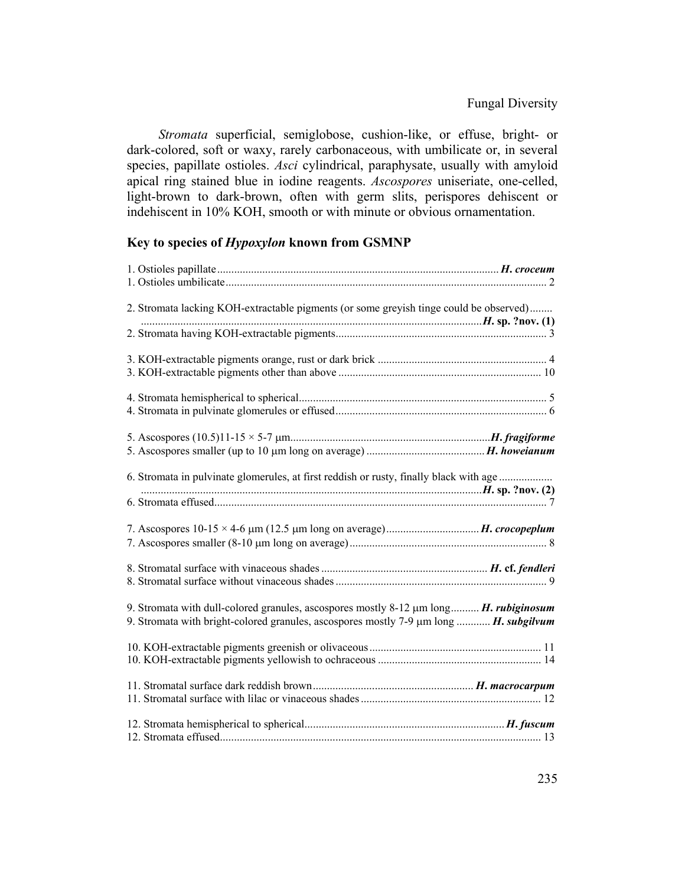*Stromata* superficial, semiglobose, cushion-like, or effuse, bright- or dark-colored, soft or waxy, rarely carbonaceous, with umbilicate or, in several species, papillate ostioles. *Asci* cylindrical, paraphysate, usually with amyloid apical ring stained blue in iodine reagents. *Ascospores* uniseriate, one-celled, light-brown to dark-brown, often with germ slits, perispores dehiscent or indehiscent in 10% KOH, smooth or with minute or obvious ornamentation.

# **Key to species of** *Hypoxylon* **known from GSMNP**

| 2. Stromata lacking KOH-extractable pigments (or some greyish tinge could be observed)                                                                                                      |  |
|---------------------------------------------------------------------------------------------------------------------------------------------------------------------------------------------|--|
|                                                                                                                                                                                             |  |
|                                                                                                                                                                                             |  |
|                                                                                                                                                                                             |  |
|                                                                                                                                                                                             |  |
| 6. Stromata in pulvinate glomerules, at first reddish or rusty, finally black with age                                                                                                      |  |
|                                                                                                                                                                                             |  |
|                                                                                                                                                                                             |  |
| 9. Stromata with dull-colored granules, ascospores mostly 8-12 µm long <i>H. rubiginosum</i><br>9. Stromata with bright-colored granules, ascospores mostly 7-9 µm long <i>H. subgilvum</i> |  |
|                                                                                                                                                                                             |  |
|                                                                                                                                                                                             |  |
|                                                                                                                                                                                             |  |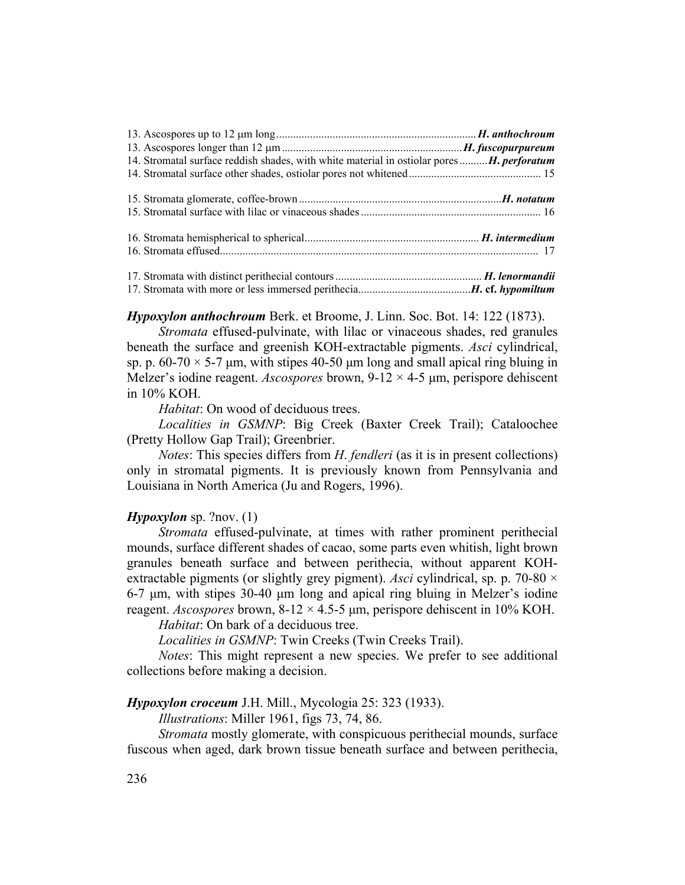| 14. Stromatal surface reddish shades, with white material in ostiolar pores  H. perforatum |  |
|--------------------------------------------------------------------------------------------|--|
|                                                                                            |  |
|                                                                                            |  |
|                                                                                            |  |

*Hypoxylon anthochroum* Berk. et Broome, J. Linn. Soc. Bot. 14: 122 (1873).

*Stromata* effused-pulvinate, with lilac or vinaceous shades, red granules beneath the surface and greenish KOH-extractable pigments. *Asci* cylindrical, sp. p.  $60-70 \times 5-7$  µm, with stipes 40-50 µm long and small apical ring bluing in Melzer's iodine reagent. *Ascospores* brown, 9-12 × 4-5 µm, perispore dehiscent in 10% KOH.

*Habitat*: On wood of deciduous trees.

*Localities in GSMNP*: Big Creek (Baxter Creek Trail); Cataloochee (Pretty Hollow Gap Trail); Greenbrier.

*Notes*: This species differs from *H*. *fendleri* (as it is in present collections) only in stromatal pigments. It is previously known from Pennsylvania and Louisiana in North America (Ju and Rogers, 1996).

### *Hypoxylon* sp. ?nov. (1)

*Stromata* effused-pulvinate, at times with rather prominent perithecial mounds, surface different shades of cacao, some parts even whitish, light brown granules beneath surface and between perithecia, without apparent KOHextractable pigments (or slightly grey pigment). *Asci* cylindrical, sp. p. 70-80 × 6-7 µm, with stipes 30-40 µm long and apical ring bluing in Melzer's iodine reagent. *Ascospores* brown, 8-12 × 4.5-5 µm, perispore dehiscent in 10% KOH.

*Habitat*: On bark of a deciduous tree.

*Localities in GSMNP*: Twin Creeks (Twin Creeks Trail).

*Notes*: This might represent a new species. We prefer to see additional collections before making a decision.

# *Hypoxylon croceum* J.H. Mill., Mycologia 25: 323 (1933).

*Illustrations*: Miller 1961, figs 73, 74, 86.

*Stromata* mostly glomerate, with conspicuous perithecial mounds, surface fuscous when aged, dark brown tissue beneath surface and between perithecia,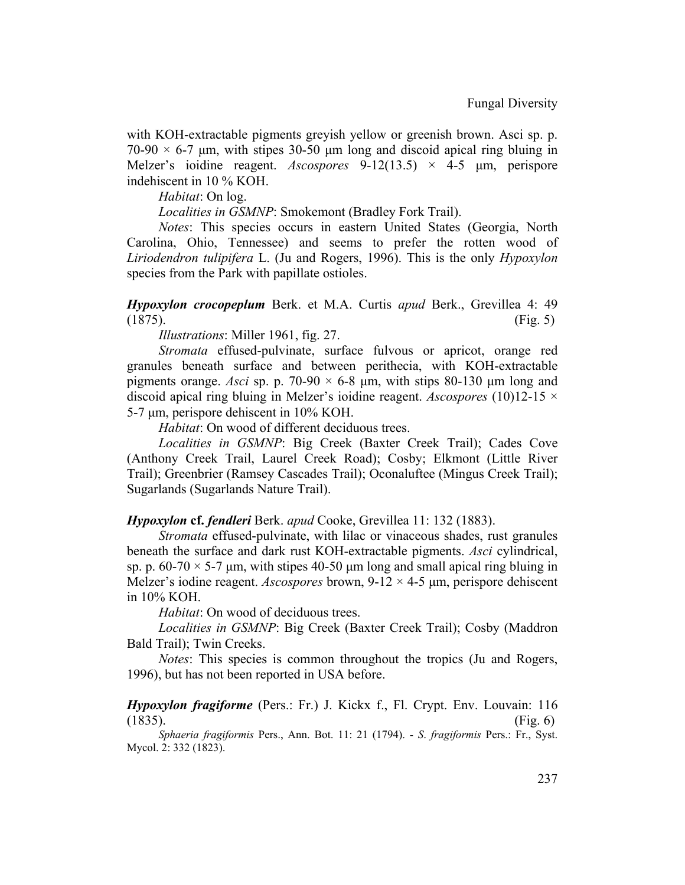with KOH-extractable pigments greyish yellow or greenish brown. Asci sp. p.  $70-90 \times 6-7$  um, with stipes 30-50 um long and discoid apical ring bluing in Melzer's ioidine reagent. *Ascospores* 9-12(13.5) × 4-5 µm, perispore indehiscent in 10 % KOH.

*Habitat*: On log.

*Localities in GSMNP*: Smokemont (Bradley Fork Trail).

*Notes*: This species occurs in eastern United States (Georgia, North Carolina, Ohio, Tennessee) and seems to prefer the rotten wood of *Liriodendron tulipifera* L. (Ju and Rogers, 1996). This is the only *Hypoxylon* species from the Park with papillate ostioles.

*Hypoxylon crocopeplum* Berk. et M.A. Curtis *apud* Berk., Grevillea 4: 49  $(1875)$ . (Fig. 5)

*Illustrations*: Miller 1961, fig. 27.

*Stromata* effused-pulvinate, surface fulvous or apricot, orange red granules beneath surface and between perithecia, with KOH-extractable pigments orange. *Asci* sp. p. 70-90  $\times$  6-8  $\mu$ m, with stips 80-130  $\mu$ m long and discoid apical ring bluing in Melzer's ioidine reagent. *Ascospores* (10)12-15 × 5-7 µm, perispore dehiscent in 10% KOH.

*Habitat*: On wood of different deciduous trees.

*Localities in GSMNP*: Big Creek (Baxter Creek Trail); Cades Cove (Anthony Creek Trail, Laurel Creek Road); Cosby; Elkmont (Little River Trail); Greenbrier (Ramsey Cascades Trail); Oconaluftee (Mingus Creek Trail); Sugarlands (Sugarlands Nature Trail).

*Hypoxylon* **cf.** *fendleri* Berk. *apud* Cooke, Grevillea 11: 132 (1883).

*Stromata* effused-pulvinate, with lilac or vinaceous shades, rust granules beneath the surface and dark rust KOH-extractable pigments. *Asci* cylindrical, sp. p.  $60-70 \times 5-7$  µm, with stipes 40-50 µm long and small apical ring bluing in Melzer's iodine reagent. *Ascospores* brown, 9-12 × 4-5 µm, perispore dehiscent in 10% KOH.

*Habitat*: On wood of deciduous trees.

*Localities in GSMNP*: Big Creek (Baxter Creek Trail); Cosby (Maddron Bald Trail); Twin Creeks.

*Notes*: This species is common throughout the tropics (Ju and Rogers, 1996), but has not been reported in USA before.

*Hypoxylon fragiforme* (Pers.: Fr.) J. Kickx f., Fl. Crypt. Env. Louvain: 116  $(1835)$ . (Fig. 6)

*Sphaeria fragiformis* Pers., Ann. Bot. 11: 21 (1794). - *S*. *fragiformis* Pers.: Fr., Syst. Mycol. 2: 332 (1823).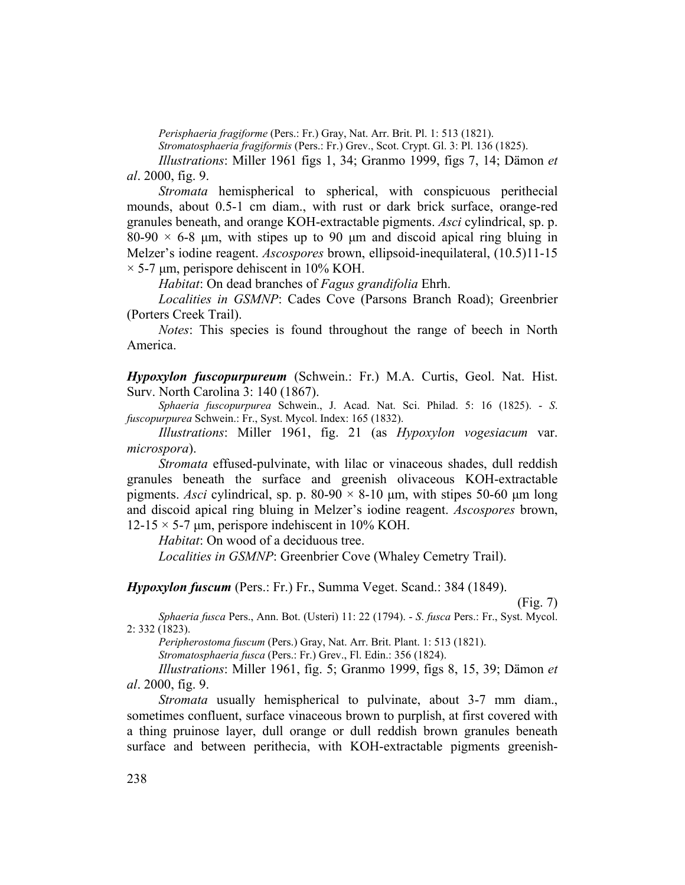*Perisphaeria fragiforme* (Pers.: Fr.) Gray, Nat. Arr. Brit. Pl. 1: 513 (1821).

*Stromatosphaeria fragiformis* (Pers.: Fr.) Grev., Scot. Crypt. Gl. 3: Pl. 136 (1825).

*Illustrations*: Miller 1961 figs 1, 34; Granmo 1999, figs 7, 14; Dämon *et al*. 2000, fig. 9.

*Stromata* hemispherical to spherical, with conspicuous perithecial mounds, about 0.5-1 cm diam., with rust or dark brick surface, orange-red granules beneath, and orange KOH-extractable pigments. *Asci* cylindrical, sp. p.  $80-90 \times 6-8$  µm, with stipes up to 90 µm and discoid apical ring bluing in Melzer's iodine reagent. *Ascospores* brown, ellipsoid-inequilateral, (10.5)11-15  $\times$  5-7 µm, perispore dehiscent in 10% KOH.

*Habitat*: On dead branches of *Fagus grandifolia* Ehrh.

*Localities in GSMNP*: Cades Cove (Parsons Branch Road); Greenbrier (Porters Creek Trail).

*Notes*: This species is found throughout the range of beech in North America.

*Hypoxylon fuscopurpureum* (Schwein.: Fr.) M.A. Curtis, Geol. Nat. Hist. Surv. North Carolina 3: 140 (1867).

*Sphaeria fuscopurpurea* Schwein., J. Acad. Nat. Sci. Philad. 5: 16 (1825). - *S*. *fuscopurpurea* Schwein.: Fr., Syst. Mycol. Index: 165 (1832).

*Illustrations*: Miller 1961, fig. 21 (as *Hypoxylon vogesiacum* var. *microspora*).

*Stromata* effused-pulvinate, with lilac or vinaceous shades, dull reddish granules beneath the surface and greenish olivaceous KOH-extractable pigments. Asci cylindrical, sp. p. 80-90  $\times$  8-10  $\mu$ m, with stipes 50-60  $\mu$ m long and discoid apical ring bluing in Melzer's iodine reagent. *Ascospores* brown,  $12-15 \times 5-7$  µm, perispore indehiscent in 10% KOH.

*Habitat*: On wood of a deciduous tree.

*Localities in GSMNP*: Greenbrier Cove (Whaley Cemetry Trail).

*Hypoxylon fuscum* (Pers.: Fr.) Fr., Summa Veget. Scand.: 384 (1849).

(Fig. 7)

*Sphaeria fusca* Pers., Ann. Bot. (Usteri) 11: 22 (1794). - *S*. *fusca* Pers.: Fr., Syst. Mycol. 2: 332 (1823).

*Peripherostoma fuscum* (Pers.) Gray, Nat. Arr. Brit. Plant. 1: 513 (1821).

*Stromatosphaeria fusca* (Pers.: Fr.) Grev., Fl. Edin.: 356 (1824).

*Illustrations*: Miller 1961, fig. 5; Granmo 1999, figs 8, 15, 39; Dämon *et al*. 2000, fig. 9.

*Stromata* usually hemispherical to pulvinate, about 3-7 mm diam., sometimes confluent, surface vinaceous brown to purplish, at first covered with a thing pruinose layer, dull orange or dull reddish brown granules beneath surface and between perithecia, with KOH-extractable pigments greenish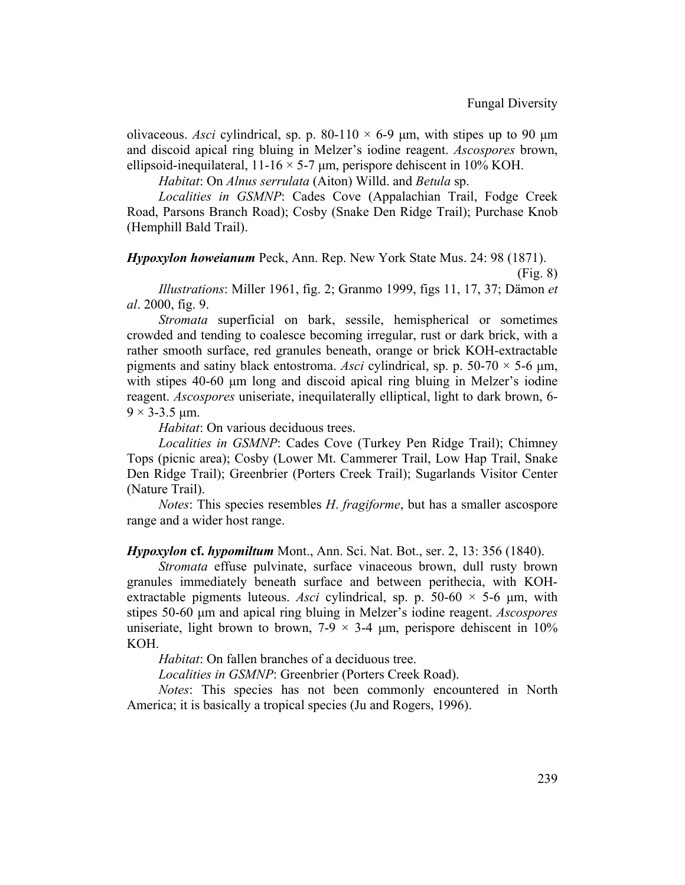olivaceous. *Asci* cylindrical, sp. p. 80-110  $\times$  6-9  $\mu$ m, with stipes up to 90  $\mu$ m and discoid apical ring bluing in Melzer's iodine reagent. *Ascospores* brown, ellipsoid-inequilateral,  $11\n-16 \times 5\n-7 \mu m$ , perispore dehiscent in 10% KOH.

*Habitat*: On *Alnus serrulata* (Aiton) Willd. and *Betula* sp.

*Localities in GSMNP*: Cades Cove (Appalachian Trail, Fodge Creek Road, Parsons Branch Road); Cosby (Snake Den Ridge Trail); Purchase Knob (Hemphill Bald Trail).

*Hypoxylon howeianum* Peck, Ann. Rep. New York State Mus. 24: 98 (1871).

(Fig. 8)

*Illustrations*: Miller 1961, fig. 2; Granmo 1999, figs 11, 17, 37; Dämon *et al*. 2000, fig. 9.

*Stromata* superficial on bark, sessile, hemispherical or sometimes crowded and tending to coalesce becoming irregular, rust or dark brick, with a rather smooth surface, red granules beneath, orange or brick KOH-extractable pigments and satiny black entostroma. Asci cylindrical, sp. p.  $50-70 \times 5-6 \mu m$ , with stipes 40-60 µm long and discoid apical ring bluing in Melzer's iodine reagent. *Ascospores* uniseriate, inequilaterally elliptical, light to dark brown, 6-  $9 \times 3 - 3.5$  µm.

*Habitat*: On various deciduous trees.

*Localities in GSMNP*: Cades Cove (Turkey Pen Ridge Trail); Chimney Tops (picnic area); Cosby (Lower Mt. Cammerer Trail, Low Hap Trail, Snake Den Ridge Trail); Greenbrier (Porters Creek Trail); Sugarlands Visitor Center (Nature Trail).

*Notes*: This species resembles *H*. *fragiforme*, but has a smaller ascospore range and a wider host range.

*Hypoxylon* **cf.** *hypomiltum* Mont., Ann. Sci. Nat. Bot., ser. 2, 13: 356 (1840).

*Stromata* effuse pulvinate, surface vinaceous brown, dull rusty brown granules immediately beneath surface and between perithecia, with KOHextractable pigments luteous. *Asci* cylindrical, sp. p. 50-60  $\times$  5-6  $\mu$ m, with stipes 50-60 µm and apical ring bluing in Melzer's iodine reagent. *Ascospores* uniseriate, light brown to brown,  $7-9 \times 3-4$  µm, perispore dehiscent in 10% KOH.

*Habitat*: On fallen branches of a deciduous tree.

*Localities in GSMNP*: Greenbrier (Porters Creek Road).

*Notes*: This species has not been commonly encountered in North America; it is basically a tropical species (Ju and Rogers, 1996).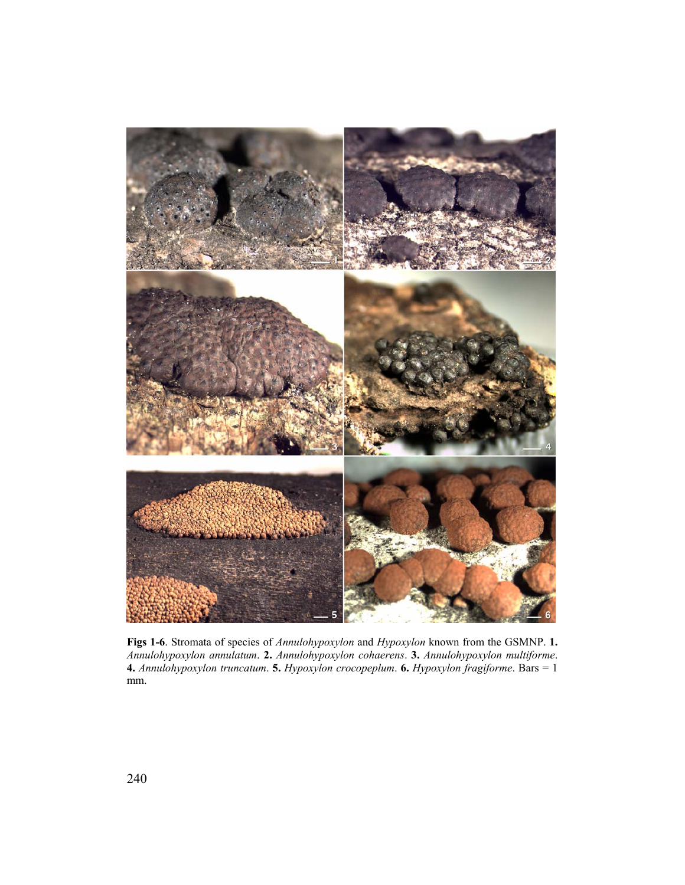

**Figs 1-6**. Stromata of species of *Annulohypoxylon* and *Hypoxylon* known from the GSMNP. **1.** *Annulohypoxylon annulatum*. **2.** *Annulohypoxylon cohaerens*. **3.** *Annulohypoxylon multiforme*. **4.** *Annulohypoxylon truncatum*. **5.** *Hypoxylon crocopeplum*. **6.** *Hypoxylon fragiforme*. Bars = 1 mm.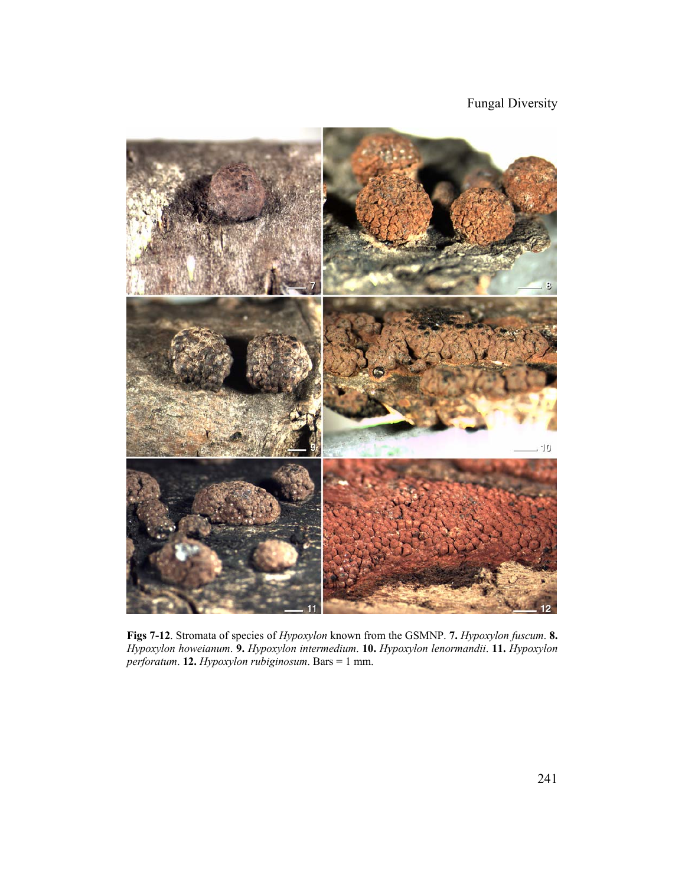Fungal Diversity



**Figs 7-12**. Stromata of species of *Hypoxylon* known from the GSMNP. **7.** *Hypoxylon fuscum*. **8.** *Hypoxylon howeianum*. **9.** *Hypoxylon intermedium*. **10.** *Hypoxylon lenormandii*. **11.** *Hypoxylon perforatum*. **12.** *Hypoxylon rubiginosum*. Bars = 1 mm.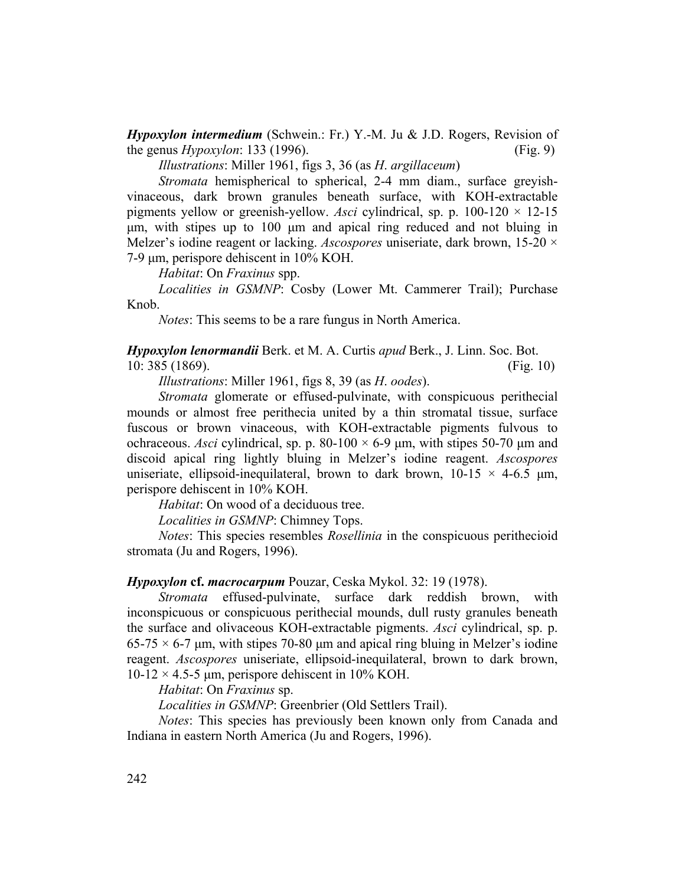*Hypoxylon intermedium* (Schwein.: Fr.) Y.-M. Ju & J.D. Rogers, Revision of the genus *Hypoxylon*: 133 (1996). (Fig. 9)

*Illustrations*: Miller 1961, figs 3, 36 (as *H*. *argillaceum*)

*Stromata* hemispherical to spherical, 2-4 mm diam., surface greyishvinaceous, dark brown granules beneath surface, with KOH-extractable pigments yellow or greenish-yellow. *Asci* cylindrical, sp. p. 100-120 × 12-15 µm, with stipes up to 100 µm and apical ring reduced and not bluing in Melzer's iodine reagent or lacking. *Ascospores* uniseriate, dark brown, 15-20 × 7-9 µm, perispore dehiscent in 10% KOH.

*Habitat*: On *Fraxinus* spp.

*Localities in GSMNP*: Cosby (Lower Mt. Cammerer Trail); Purchase Knob.

*Notes*: This seems to be a rare fungus in North America.

*Hypoxylon lenormandii* Berk. et M. A. Curtis *apud* Berk., J. Linn. Soc. Bot. 10: 385 (1869). (Fig. 10)

*Illustrations*: Miller 1961, figs 8, 39 (as *H*. *oodes*).

*Stromata* glomerate or effused-pulvinate, with conspicuous perithecial mounds or almost free perithecia united by a thin stromatal tissue, surface fuscous or brown vinaceous, with KOH-extractable pigments fulvous to ochraceous. *Asci* cylindrical, sp. p. 80-100  $\times$  6-9 µm, with stipes 50-70 µm and discoid apical ring lightly bluing in Melzer's iodine reagent. *Ascospores* uniseriate, ellipsoid-inequilateral, brown to dark brown,  $10-15 \times 4-6.5 \mu m$ , perispore dehiscent in 10% KOH.

*Habitat*: On wood of a deciduous tree.

*Localities in GSMNP*: Chimney Tops.

*Notes*: This species resembles *Rosellinia* in the conspicuous perithecioid stromata (Ju and Rogers, 1996).

#### *Hypoxylon* **cf.** *macrocarpum* Pouzar, Ceska Mykol. 32: 19 (1978).

*Stromata* effused-pulvinate, surface dark reddish brown, with inconspicuous or conspicuous perithecial mounds, dull rusty granules beneath the surface and olivaceous KOH-extractable pigments. *Asci* cylindrical, sp. p.  $65-75 \times 6-7$  µm, with stipes 70-80 µm and apical ring bluing in Melzer's iodine reagent. *Ascospores* uniseriate, ellipsoid-inequilateral, brown to dark brown,  $10-12 \times 4.5-5$  µm, perispore dehiscent in 10% KOH.

*Habitat*: On *Fraxinus* sp.

*Localities in GSMNP*: Greenbrier (Old Settlers Trail).

*Notes*: This species has previously been known only from Canada and Indiana in eastern North America (Ju and Rogers, 1996).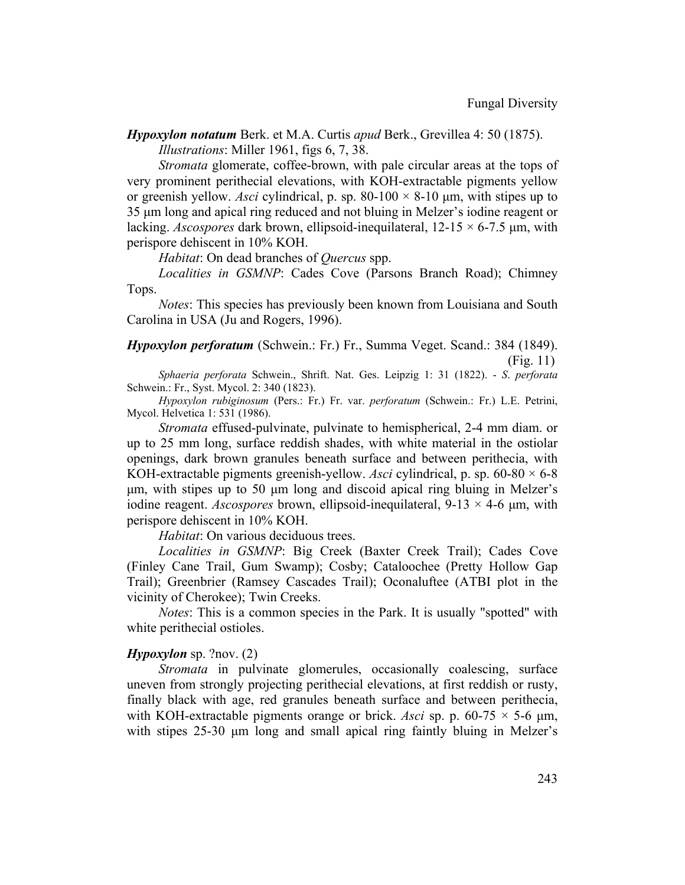*Hypoxylon notatum* Berk. et M.A. Curtis *apud* Berk., Grevillea 4: 50 (1875). *Illustrations*: Miller 1961, figs 6, 7, 38.

*Stromata* glomerate, coffee-brown, with pale circular areas at the tops of very prominent perithecial elevations, with KOH-extractable pigments yellow or greenish yellow. *Asci* cylindrical, p. sp. 80-100  $\times$  8-10  $\mu$ m, with stipes up to 35 µm long and apical ring reduced and not bluing in Melzer's iodine reagent or lacking. *Ascospores* dark brown, ellipsoid-inequilateral,  $12-15 \times 6-7.5$  µm, with perispore dehiscent in 10% KOH.

*Habitat*: On dead branches of *Quercus* spp.

*Localities in GSMNP*: Cades Cove (Parsons Branch Road); Chimney Tops.

*Notes*: This species has previously been known from Louisiana and South Carolina in USA (Ju and Rogers, 1996).

# *Hypoxylon perforatum* (Schwein.: Fr.) Fr., Summa Veget. Scand.: 384 (1849).

(Fig. 11)

*Sphaeria perforata* Schwein., Shrift. Nat. Ges. Leipzig 1: 31 (1822). - *S*. *perforata* Schwein.: Fr., Syst. Mycol. 2: 340 (1823).

*Hypoxylon rubiginosum* (Pers.: Fr.) Fr. var. *perforatum* (Schwein.: Fr.) L.E. Petrini, Mycol. Helvetica 1: 531 (1986).

*Stromata* effused-pulvinate, pulvinate to hemispherical, 2-4 mm diam. or up to 25 mm long, surface reddish shades, with white material in the ostiolar openings, dark brown granules beneath surface and between perithecia, with KOH-extractable pigments greenish-yellow. *Asci* cylindrical, p. sp. 60-80 × 6-8 µm, with stipes up to 50 µm long and discoid apical ring bluing in Melzer's iodine reagent. *Ascospores* brown, ellipsoid-inequilateral, 9-13 × 4-6 µm, with perispore dehiscent in 10% KOH.

*Habitat*: On various deciduous trees.

*Localities in GSMNP*: Big Creek (Baxter Creek Trail); Cades Cove (Finley Cane Trail, Gum Swamp); Cosby; Cataloochee (Pretty Hollow Gap Trail); Greenbrier (Ramsey Cascades Trail); Oconaluftee (ATBI plot in the vicinity of Cherokee); Twin Creeks.

*Notes*: This is a common species in the Park. It is usually "spotted" with white perithecial ostioles.

### *Hypoxylon* sp. ?nov. (2)

*Stromata* in pulvinate glomerules, occasionally coalescing, surface uneven from strongly projecting perithecial elevations, at first reddish or rusty, finally black with age, red granules beneath surface and between perithecia, with KOH-extractable pigments orange or brick. Asci sp. p.  $60-75 \times 5-6$  µm, with stipes 25-30  $\mu$ m long and small apical ring faintly bluing in Melzer's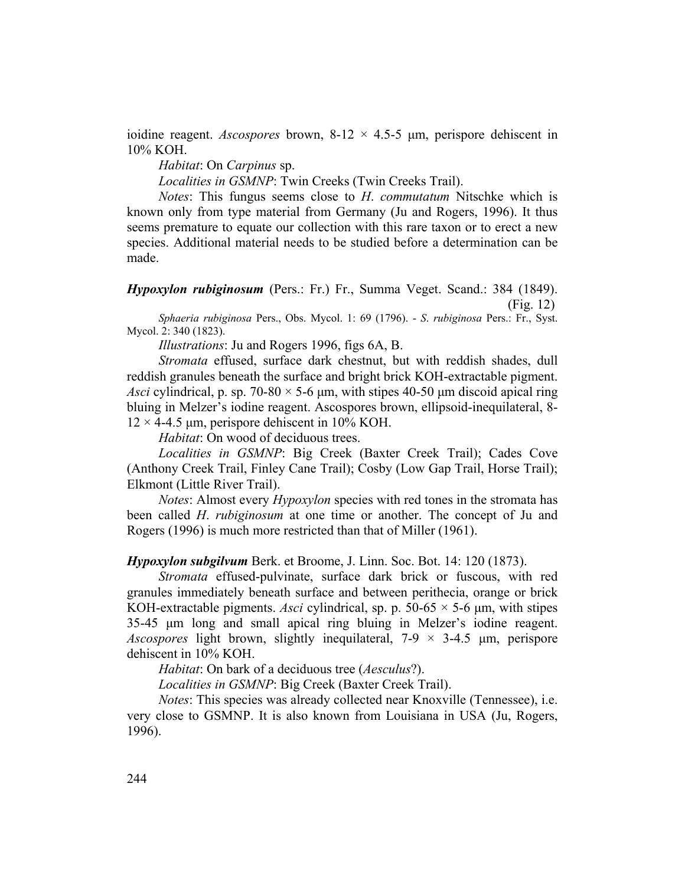ioidine reagent. *Ascospores* brown,  $8-12 \times 4.5-5$  µm, perispore dehiscent in 10% KOH.

# *Habitat*: On *Carpinus* sp.

*Localities in GSMNP*: Twin Creeks (Twin Creeks Trail).

*Notes*: This fungus seems close to *H*. *commutatum* Nitschke which is known only from type material from Germany (Ju and Rogers, 1996). It thus seems premature to equate our collection with this rare taxon or to erect a new species. Additional material needs to be studied before a determination can be made.

*Hypoxylon rubiginosum* (Pers.: Fr.) Fr., Summa Veget. Scand.: 384 (1849). (Fig. 12)

*Sphaeria rubiginosa* Pers., Obs. Mycol. 1: 69 (1796). - *S*. *rubiginosa* Pers.: Fr., Syst. Mycol. 2: 340 (1823).

*Illustrations*: Ju and Rogers 1996, figs 6A, B.

*Stromata* effused, surface dark chestnut, but with reddish shades, dull reddish granules beneath the surface and bright brick KOH-extractable pigment. *Asci* cylindrical, p. sp. 70-80  $\times$  5-6  $\mu$ m, with stipes 40-50  $\mu$ m discoid apical ring bluing in Melzer's iodine reagent. Ascospores brown, ellipsoid-inequilateral, 8-  $12 \times 4$ -4.5 µm, perispore dehiscent in 10% KOH.

*Habitat*: On wood of deciduous trees.

*Localities in GSMNP*: Big Creek (Baxter Creek Trail); Cades Cove (Anthony Creek Trail, Finley Cane Trail); Cosby (Low Gap Trail, Horse Trail); Elkmont (Little River Trail).

*Notes*: Almost every *Hypoxylon* species with red tones in the stromata has been called *H*. *rubiginosum* at one time or another. The concept of Ju and Rogers (1996) is much more restricted than that of Miller (1961).

*Hypoxylon subgilvum* Berk. et Broome, J. Linn. Soc. Bot. 14: 120 (1873).

*Stromata* effused-pulvinate, surface dark brick or fuscous, with red granules immediately beneath surface and between perithecia, orange or brick KOH-extractable pigments. *Asci* cylindrical, sp. p. 50-65  $\times$  5-6  $\mu$ m, with stipes 35-45 µm long and small apical ring bluing in Melzer's iodine reagent. *Ascospores* light brown, slightly inequilateral, 7-9 × 3-4.5 µm, perispore dehiscent in 10% KOH.

*Habitat*: On bark of a deciduous tree (*Aesculus*?).

*Localities in GSMNP*: Big Creek (Baxter Creek Trail).

*Notes*: This species was already collected near Knoxville (Tennessee), i.e. very close to GSMNP. It is also known from Louisiana in USA (Ju, Rogers, 1996).